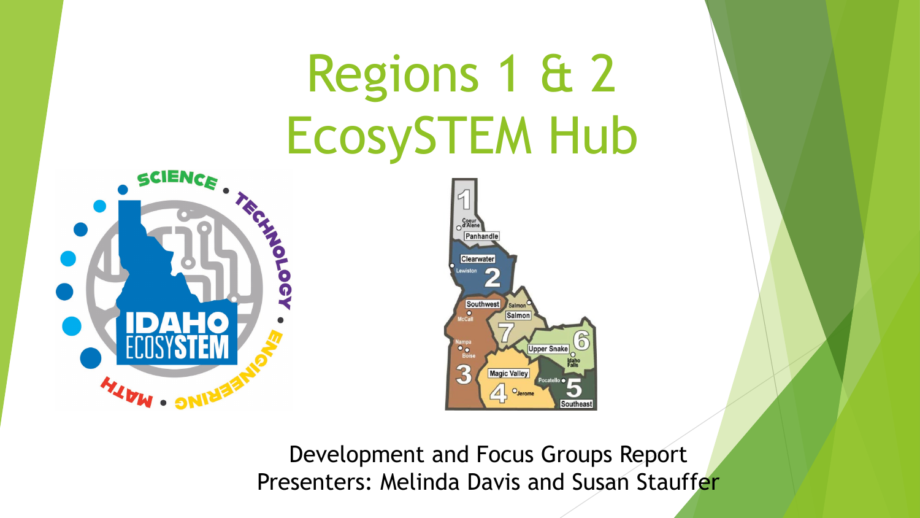# Regions 1 & 2 EcosySTEM Hub Panhandle





Development and Focus Groups Report Presenters: Melinda Davis and Susan Stauffer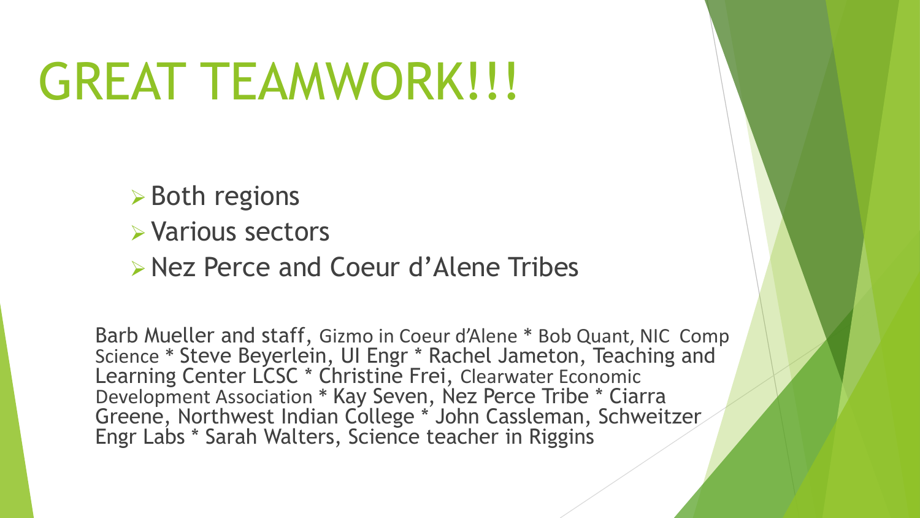## GREAT TEAMWORK!!!

- **► Both regions**
- Various sectors
- Nez Perce and Coeur d'Alene Tribes

Barb Mueller and staff, Gizmo in Coeur d'Alene \* Bob Quant, NIC Comp Science \* Steve Beyerlein, UI Engr \* Rachel Jameton, Teaching and Learning Center LCSC \* Christine Frei, Clearwater Economic Development Association \* Kay Seven, Nez Perce Tribe \* Ciarra Greene, Northwest Indian College \* John Cassleman, Schweitzer Engr Labs \* Sarah Walters, Science teacher in Riggins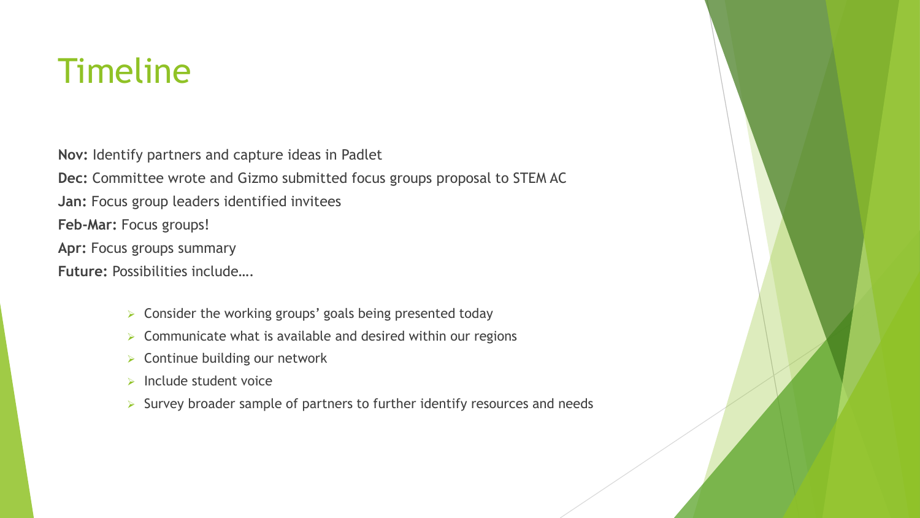### Timeline

**Nov:** Identify partners and capture ideas in Padlet

**Dec:** Committee wrote and Gizmo submitted focus groups proposal to STEM AC

**Jan:** Focus group leaders identified invitees

**Feb-Mar:** Focus groups!

**Apr:** Focus groups summary

**Future:** Possibilities include….

- $\triangleright$  Consider the working groups' goals being presented today
- $\triangleright$  Communicate what is available and desired within our regions
- **EX Continue building our network**
- $\triangleright$  Include student voice
- $\triangleright$  Survey broader sample of partners to further identify resources and needs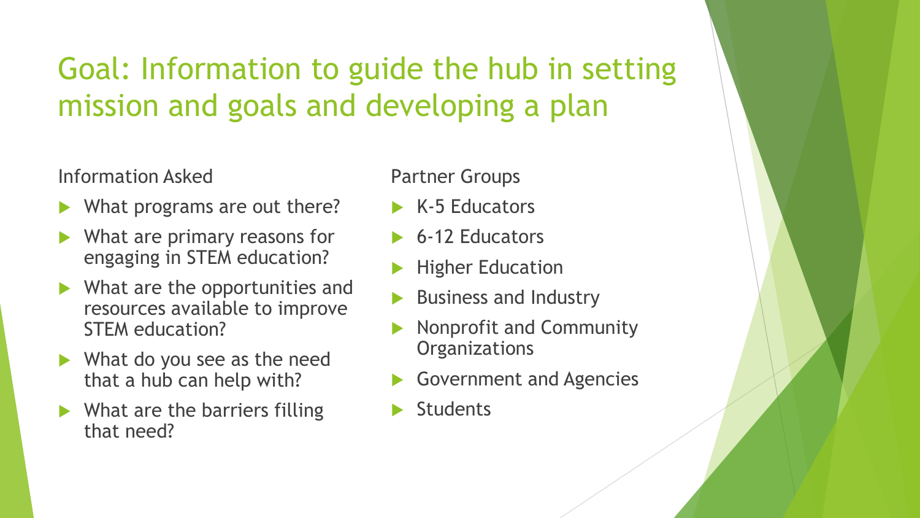#### Goal: Information to guide the hub in setting mission and goals and developing a plan

#### Information Asked

- What programs are out there?
- What are primary reasons for engaging in STEM education?
- ▶ What are the opportunities and resources available to improve STEM education?
- What do you see as the need that a hub can help with?
- $\blacktriangleright$  What are the barriers filling that need?

#### Partner Groups

- $\triangleright$  K-5 Educators
- ▶ 6-12 Educators
- Higher Education
- Business and Industry
- Nonprofit and Community **Organizations**
- Government and Agencies
- **Students**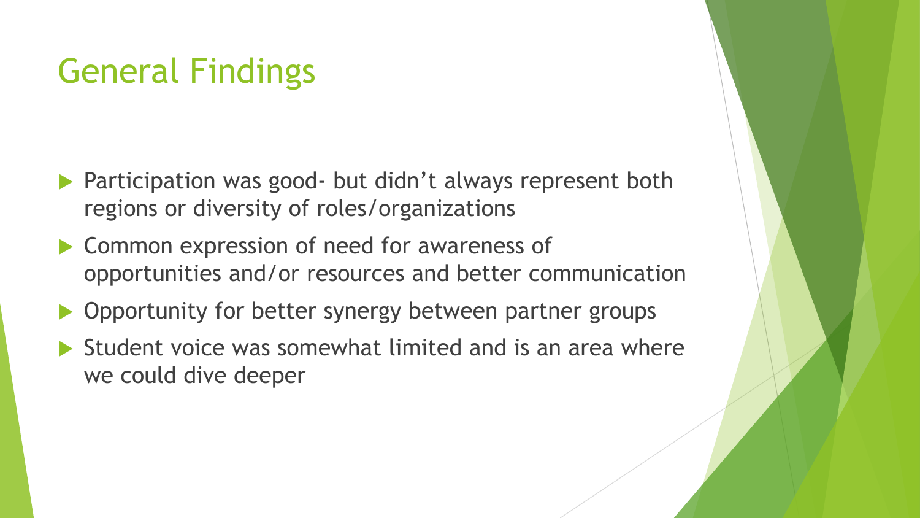#### General Findings

- Participation was good- but didn't always represent both regions or diversity of roles/organizations
- ▶ Common expression of need for awareness of opportunities and/or resources and better communication
- ▶ Opportunity for better synergy between partner groups
- $\blacktriangleright$  Student voice was somewhat limited and is an area where we could dive deeper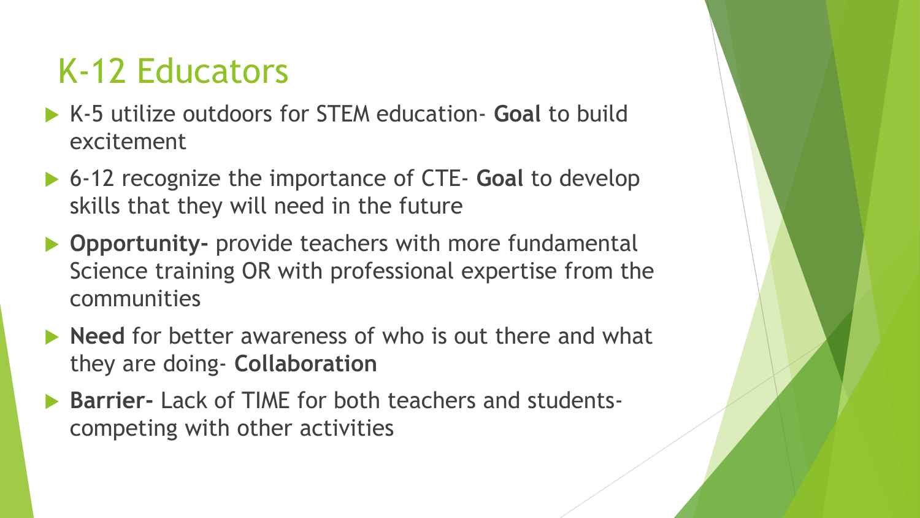#### K-12 Educators

- K-5 utilize outdoors for STEM education- **Goal** to build excitement
- **▶ 6-12 recognize the importance of CTE- Goal to develop** skills that they will need in the future
- **Opportunity-** provide teachers with more fundamental Science training OR with professional expertise from the communities
- **Need** for better awareness of who is out there and what they are doing- **Collaboration**
- **Barrier-** Lack of TIME for both teachers and studentscompeting with other activities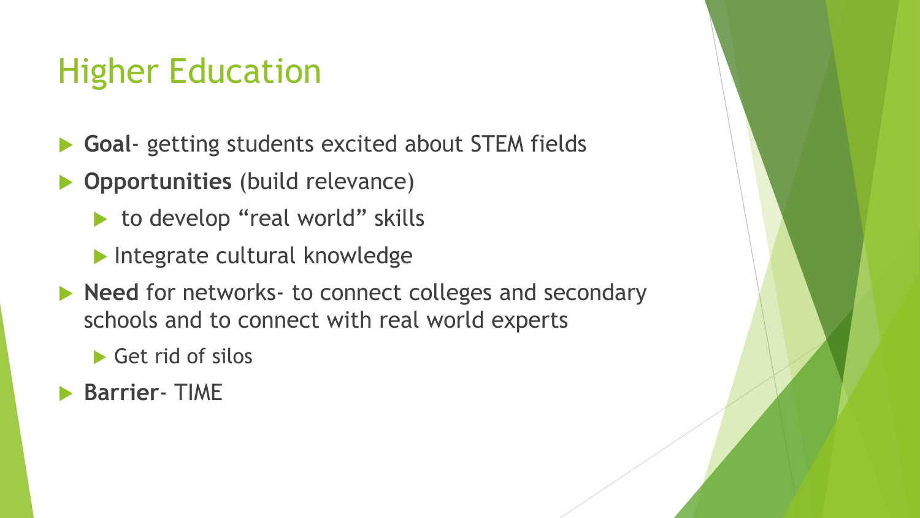#### Higher Education

- **Goal** getting students excited about STEM fields
- **Opportunities** (build relevance)
	- to develop "real world" skills
	- Integrate cultural knowledge
- **Need** for networks- to connect colleges and secondary schools and to connect with real world experts

Get rid of silos

**Barrier**- TIME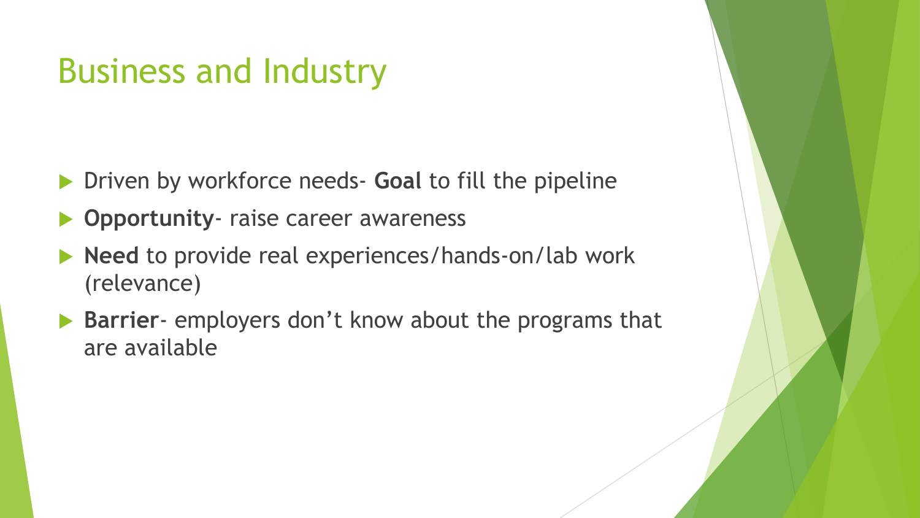#### Business and Industry

- Driven by workforce needs- **Goal** to fill the pipeline
- **Opportunity** raise career awareness
- ▶ Need to provide real experiences/hands-on/lab work (relevance)
- ▶ Barrier- employers don't know about the programs that are available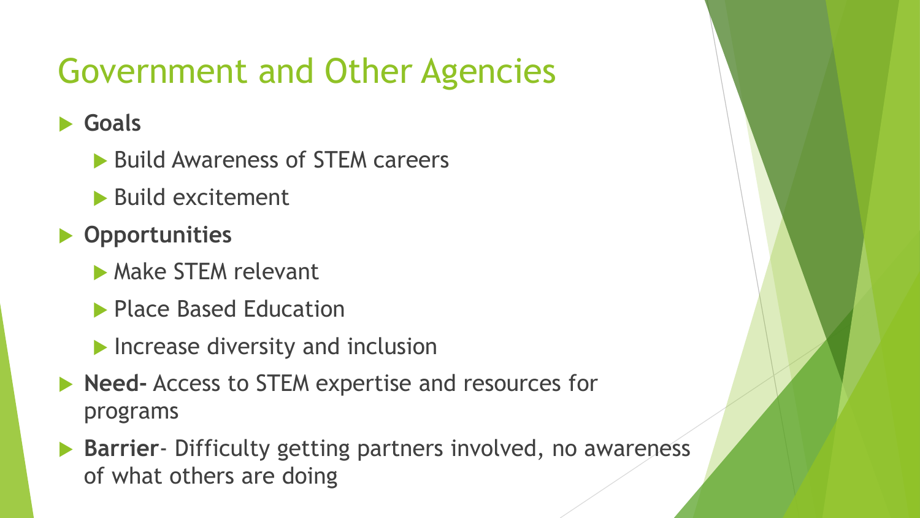## Government and Other Agencies

#### **Goals**

- ▶ Build Awareness of STEM careers
- Build excitement
- **Opportunities**
	- **Make STEM relevant**
	- **Place Based Education**
	- **Increase diversity and inclusion**
- **Need-** Access to STEM expertise and resources for programs
- **Barrier** Difficulty getting partners involved, no awareness of what others are doing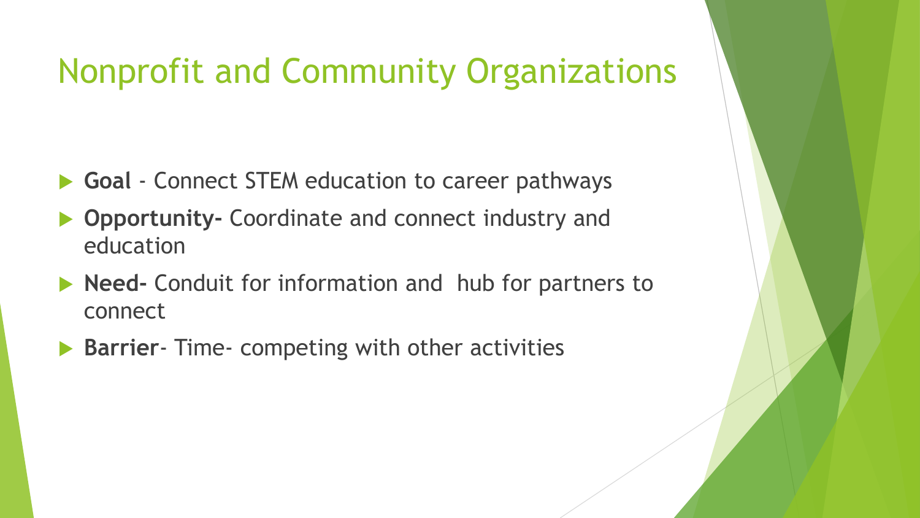#### Nonprofit and Community Organizations

- **Goal** Connect STEM education to career pathways
- **Opportunity-** Coordinate and connect industry and education
- **Need-** Conduit for information and hub for partners to connect
- **Barrier** Time- competing with other activities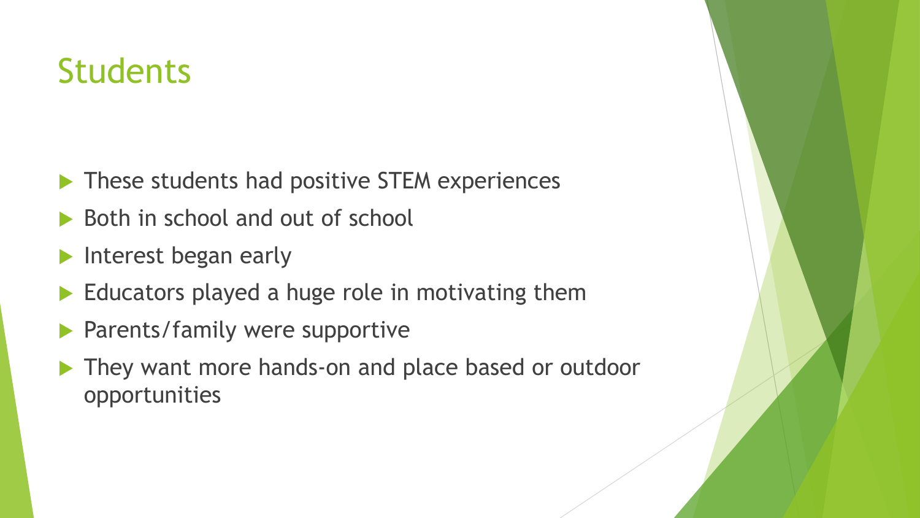### **Students**

- These students had positive STEM experiences
- Both in school and out of school
- Interest began early
- Educators played a huge role in motivating them
- Parents/family were supportive
- They want more hands-on and place based or outdoor opportunities